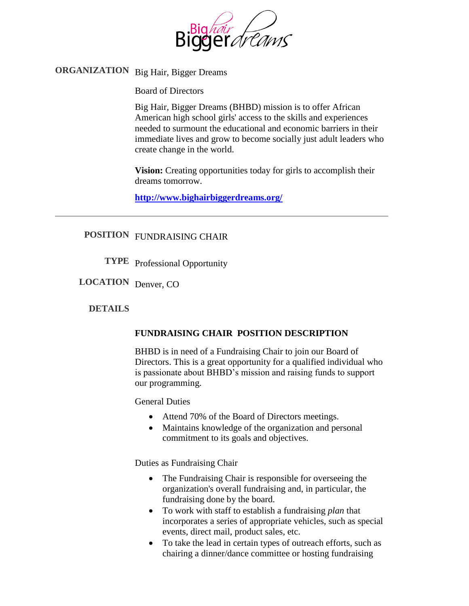

# **ORGANIZATION** Big Hair, Bigger Dreams

Board of Directors

Big Hair, Bigger Dreams (BHBD) mission is to offer African American high school girls' access to the skills and experiences needed to surmount the educational and economic barriers in their immediate lives and grow to become socially just adult leaders who create change in the world.

**Vision:** Creating opportunities today for girls to accomplish their dreams tomorrow.

**<http://www.bighairbiggerdreams.org/>**

## **POSITION** FUNDRAISING CHAIR

**TYPE** Professional Opportunity

**LOCATION** Denver, CO

#### **DETAILS**

## **FUNDRAISING CHAIR POSITION DESCRIPTION**

BHBD is in need of a Fundraising Chair to join our Board of Directors. This is a great opportunity for a qualified individual who is passionate about BHBD's mission and raising funds to support our programming.

General Duties

- Attend 70% of the Board of Directors meetings.
- Maintains knowledge of the organization and personal commitment to its goals and objectives.

Duties as Fundraising Chair

- The Fundraising Chair is responsible for overseeing the organization's overall fundraising and, in particular, the fundraising done by the board.
- To work with staff to establish a fundraising *plan* that incorporates a series of appropriate vehicles, such as special events, direct mail, product sales, etc.
- To take the lead in certain types of outreach efforts, such as chairing a dinner/dance committee or hosting fundraising